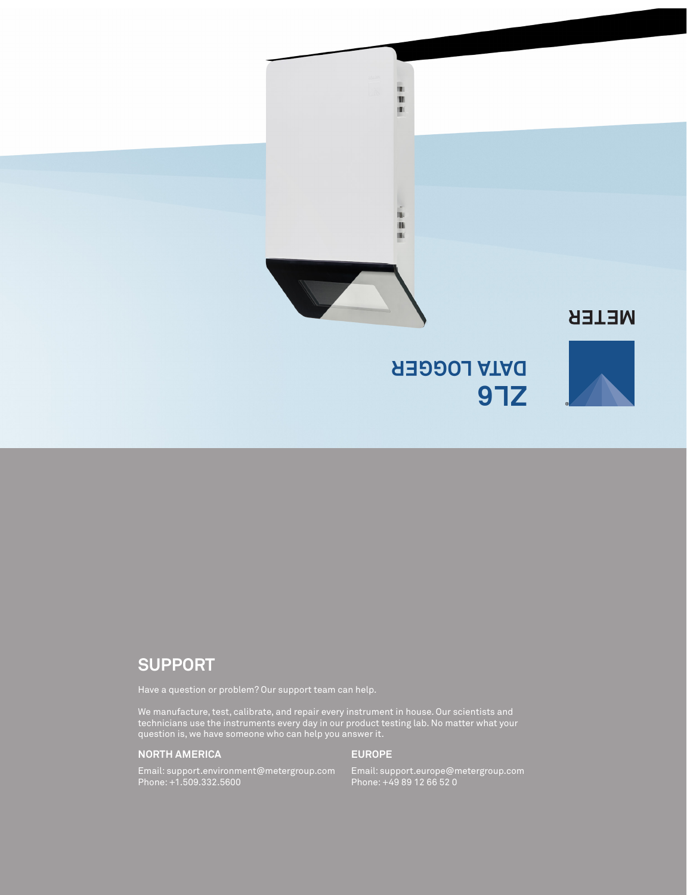

# **SUPPORT**

Have a question or problem? Our support team can help.

We manufacture, test, calibrate, and repair every instrument in house. Our scientists and technicians use the instruments every day in our product testing lab. No matter what your question is, we have someone who can help you answer it.

## **NORTH AMERICA**

### **EUROPE**

Email: support.environment@metergroup.com Phone: +1.509.332.5600

Email: support.europe@metergroup.com Phone: +49 89 12 66 52 0